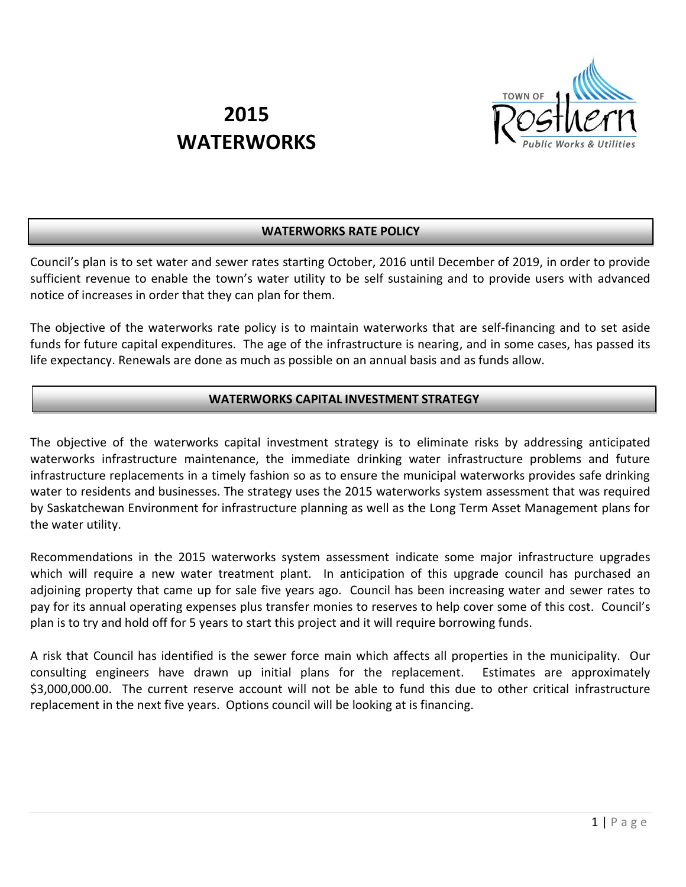

# **2015 WATERWORKS**

# **WATERWORKS RATE POLICY**

Council's plan is to set water and sewer rates starting October, 2016 until December of 2019, in order to provide sufficient revenue to enable the town's water utility to be self sustaining and to provide users with advanced notice of increases in order that they can plan for them.

The objective of the waterworks rate policy is to maintain waterworks that are self-financing and to set aside funds for future capital expenditures. The age of the infrastructure is nearing, and in some cases, has passed its life expectancy. Renewals are done as much as possible on an annual basis and as funds allow.

# **WATERWORKS CAPITAL INVESTMENT STRATEGY**

The objective of the waterworks capital investment strategy is to eliminate risks by addressing anticipated waterworks infrastructure maintenance, the immediate drinking water infrastructure problems and future infrastructure replacements in a timely fashion so as to ensure the municipal waterworks provides safe drinking water to residents and businesses. The strategy uses the 2015 waterworks system assessment that was required by Saskatchewan Environment for infrastructure planning as well as the Long Term Asset Management plans for the water utility.

Recommendations in the 2015 waterworks system assessment indicate some major infrastructure upgrades which will require a new water treatment plant. In anticipation of this upgrade council has purchased an adjoining property that came up for sale five years ago. Council has been increasing water and sewer rates to pay for its annual operating expenses plus transfer monies to reserves to help cover some of this cost. Council's plan is to try and hold off for 5 years to start this project and it will require borrowing funds.

A risk that Council has identified is the sewer force main which affects all properties in the municipality. Our consulting engineers have drawn up initial plans for the replacement. Estimates are approximately \$3,000,000.00. The current reserve account will not be able to fund this due to other critical infrastructure replacement in the next five years. Options council will be looking at is financing.